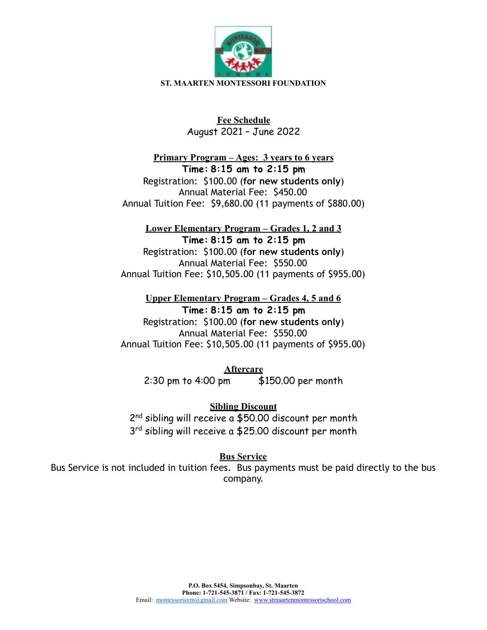

**ST. MAARTEN MONTESSORI FOUNDATION** 

**Fee Schedule**  August 2021 – June 2022

**Primary Program – Ages: 3 years to 6 years Time: 8:15 am to 2:15 pm**  Registration: \$100.00 (**for new students only**) Annual Material Fee: \$450.00 Annual Tuition Fee: \$9,680.00 (11 payments of \$880.00)

**Lower Elementary Program – Grades 1, 2 and 3 Time: 8:15 am to 2:15 pm**  Registration: \$100.00 (**for new students only**) Annual Material Fee: \$550.00 Annual Tuition Fee: \$10,505.00 (11 payments of \$955.00)

**Upper Elementary Program – Grades 4, 5 and 6 Time: 8:15 am to 2:15 pm**  Registration: \$100.00 (**for new students only**) Annual Material Fee: \$550.00 Annual Tuition Fee: \$10,505.00 (11 payments of \$955.00)

**Aftercare** 2:30 pm to 4:00 pm \$150.00 per month

**Sibling Discount**  2nd sibling will receive a \$50.00 discount per month 3<sup>rd</sup> sibling will receive a \$25.00 discount per month

**Bus Service**  Bus Service is not included in tuition fees. Bus payments must be paid directly to the bus company.